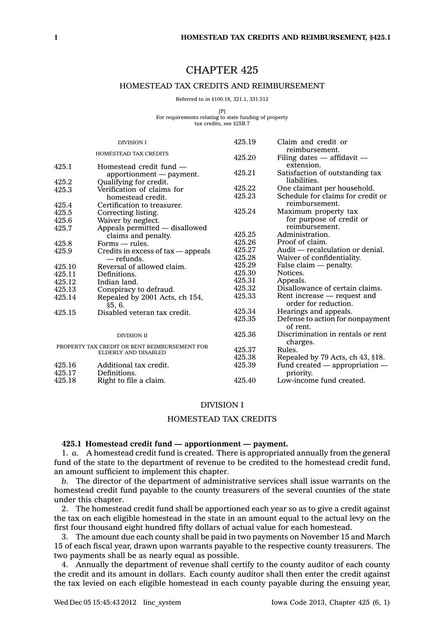# CHAPTER 425

## HOMESTEAD TAX CREDITS AND REIMBURSEMENT

Referred to in §100.18, 321.1, 331.512

### [P] For requirements relating to state funding of property tax credits, see §25B.7

| <b>DIVISION I</b>                                                     |                                                    | 425.19 | Claim and credit or<br>reimbursement.           |
|-----------------------------------------------------------------------|----------------------------------------------------|--------|-------------------------------------------------|
|                                                                       | <b>HOMESTEAD TAX CREDITS</b>                       | 425.20 | Filing dates $-$ affidavit $-$                  |
| 425.1                                                                 | Homestead credit fund -                            |        | extension.                                      |
| 425.2                                                                 | apportionment - payment.<br>Qualifying for credit. | 425.21 | Satisfaction of outstanding tax<br>liabilities. |
| 425.3                                                                 | Verification of claims for                         | 425.22 | One claimant per household.                     |
|                                                                       | homestead credit.                                  | 425.23 | Schedule for claims for credit or               |
|                                                                       |                                                    |        | reimbursement.                                  |
| 425.4                                                                 | Certification to treasurer.                        | 425.24 | Maximum property tax                            |
| 425.5                                                                 | Correcting listing.                                |        |                                                 |
| 425.6                                                                 | Waiver by neglect.                                 |        | for purpose of credit or<br>reimbursement.      |
| 425.7                                                                 | Appeals permitted - disallowed                     |        |                                                 |
|                                                                       | claims and penalty.                                | 425.25 | Administration.                                 |
| 425.8                                                                 | $Forms = rules.$                                   | 425.26 | Proof of claim.                                 |
| 425.9                                                                 | Credits in excess of $tax$ - appeals               | 425.27 | Audit — recalculation or denial.                |
|                                                                       | — refunds.                                         | 425.28 | Waiver of confidentiality.                      |
| 425.10                                                                | Reversal of allowed claim.                         | 425.29 | False claim $-$ penalty.                        |
| 425.11                                                                | Definitions.                                       | 425.30 | Notices.                                        |
| 425.12                                                                | Indian land.                                       | 425.31 | Appeals.                                        |
| 425.13                                                                | Conspiracy to defraud.                             | 425.32 | Disallowance of certain claims.                 |
| 425.14                                                                | Repealed by 2001 Acts, ch 154,                     | 425.33 | Rent increase — request and                     |
|                                                                       | \$5, 6.                                            |        | order for reduction.                            |
| 425.15                                                                | Disabled veteran tax credit.                       | 425.34 | Hearings and appeals.                           |
|                                                                       |                                                    | 425.35 | Defense to action for nonpayment<br>of rent.    |
|                                                                       | <b>DIVISION II</b>                                 | 425.36 | Discrimination in rentals or rent<br>charges.   |
| PROPERTY TAX CREDIT OR RENT REIMBURSEMENT FOR<br>ELDERLY AND DISABLED |                                                    | 425.37 | Rules.                                          |
|                                                                       |                                                    | 425.38 | Repealed by 79 Acts, ch 43, §18.                |
| 425.16                                                                | Additional tax credit.                             | 425.39 | Fund created $-$ appropriation $-$              |
| 425.17                                                                | Definitions.                                       |        | priority.                                       |
| 425.18                                                                | Right to file a claim.                             | 425.40 | Low-income fund created.                        |
|                                                                       |                                                    |        |                                                 |

### DIVISION I

## HOMESTEAD TAX CREDITS

## **425.1 Homestead credit fund — apportionment —payment.**

1. *a.* A homestead credit fund is created. There is appropriated annually from the general fund of the state to the department of revenue to be credited to the homestead credit fund, an amount sufficient to implement this chapter.

*b.* The director of the department of administrative services shall issue warrants on the homestead credit fund payable to the county treasurers of the several counties of the state under this chapter.

2. The homestead credit fund shall be apportioned each year so as to give <sup>a</sup> credit against the tax on each eligible homestead in the state in an amount equal to the actual levy on the first four thousand eight hundred fifty dollars of actual value for each homestead.

3. The amount due each county shall be paid in two payments on November 15 and March 15 of each fiscal year, drawn upon warrants payable to the respective county treasurers. The two payments shall be as nearly equal as possible.

4. Annually the department of revenue shall certify to the county auditor of each county the credit and its amount in dollars. Each county auditor shall then enter the credit against the tax levied on each eligible homestead in each county payable during the ensuing year,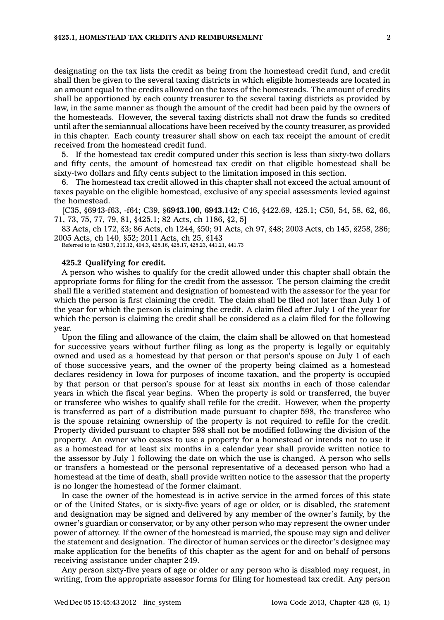designating on the tax lists the credit as being from the homestead credit fund, and credit shall then be given to the several taxing districts in which eligible homesteads are located in an amount equal to the credits allowed on the taxes of the homesteads. The amount of credits shall be apportioned by each county treasurer to the several taxing districts as provided by law, in the same manner as though the amount of the credit had been paid by the owners of the homesteads. However, the several taxing districts shall not draw the funds so credited until after the semiannual allocations have been received by the county treasurer, as provided in this chapter. Each county treasurer shall show on each tax receipt the amount of credit received from the homestead credit fund.

5. If the homestead tax credit computed under this section is less than sixty-two dollars and fifty cents, the amount of homestead tax credit on that eligible homestead shall be sixty-two dollars and fifty cents subject to the limitation imposed in this section.

6. The homestead tax credit allowed in this chapter shall not exceed the actual amount of taxes payable on the eligible homestead, exclusive of any special assessments levied against the homestead.

[C35, §6943-f63, -f64; C39, §**6943.100, 6943.142;** C46, §422.69, 425.1; C50, 54, 58, 62, 66, 71, 73, 75, 77, 79, 81, §425.1; 82 Acts, ch 1186, §2, 5]

83 Acts, ch 172, §3; 86 Acts, ch 1244, §50; 91 Acts, ch 97, §48; 2003 Acts, ch 145, §258, 286; 2005 Acts, ch 140, §52; 2011 Acts, ch 25, §143

Referred to in §25B.7, 216.12, 404.3, 425.16, 425.17, 425.23, 441.21, 441.73

## **425.2 Qualifying for credit.**

A person who wishes to qualify for the credit allowed under this chapter shall obtain the appropriate forms for filing for the credit from the assessor. The person claiming the credit shall file <sup>a</sup> verified statement and designation of homestead with the assessor for the year for which the person is first claiming the credit. The claim shall be filed not later than July 1 of the year for which the person is claiming the credit. A claim filed after July 1 of the year for which the person is claiming the credit shall be considered as <sup>a</sup> claim filed for the following year.

Upon the filing and allowance of the claim, the claim shall be allowed on that homestead for successive years without further filing as long as the property is legally or equitably owned and used as <sup>a</sup> homestead by that person or that person's spouse on July 1 of each of those successive years, and the owner of the property being claimed as <sup>a</sup> homestead declares residency in Iowa for purposes of income taxation, and the property is occupied by that person or that person's spouse for at least six months in each of those calendar years in which the fiscal year begins. When the property is sold or transferred, the buyer or transferee who wishes to qualify shall refile for the credit. However, when the property is transferred as part of <sup>a</sup> distribution made pursuant to chapter 598, the transferee who is the spouse retaining ownership of the property is not required to refile for the credit. Property divided pursuant to chapter 598 shall not be modified following the division of the property. An owner who ceases to use <sup>a</sup> property for <sup>a</sup> homestead or intends not to use it as <sup>a</sup> homestead for at least six months in <sup>a</sup> calendar year shall provide written notice to the assessor by July 1 following the date on which the use is changed. A person who sells or transfers <sup>a</sup> homestead or the personal representative of <sup>a</sup> deceased person who had <sup>a</sup> homestead at the time of death, shall provide written notice to the assessor that the property is no longer the homestead of the former claimant.

In case the owner of the homestead is in active service in the armed forces of this state or of the United States, or is sixty-five years of age or older, or is disabled, the statement and designation may be signed and delivered by any member of the owner's family, by the owner's guardian or conservator, or by any other person who may represent the owner under power of attorney. If the owner of the homestead is married, the spouse may sign and deliver the statement and designation. The director of human services or the director's designee may make application for the benefits of this chapter as the agent for and on behalf of persons receiving assistance under chapter 249.

Any person sixty-five years of age or older or any person who is disabled may request, in writing, from the appropriate assessor forms for filing for homestead tax credit. Any person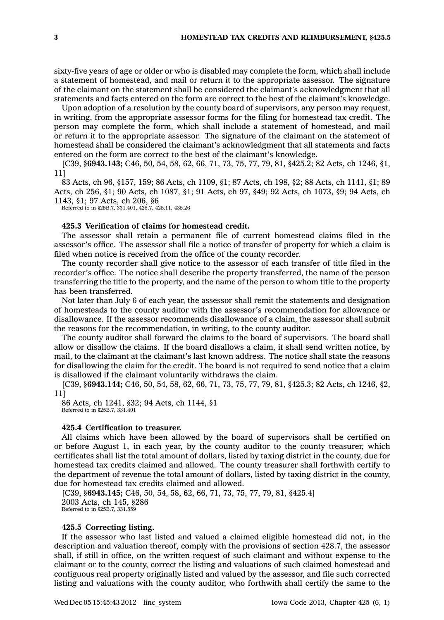sixty-five years of age or older or who is disabled may complete the form, which shall include <sup>a</sup> statement of homestead, and mail or return it to the appropriate assessor. The signature of the claimant on the statement shall be considered the claimant's acknowledgment that all statements and facts entered on the form are correct to the best of the claimant's knowledge.

Upon adoption of <sup>a</sup> resolution by the county board of supervisors, any person may request, in writing, from the appropriate assessor forms for the filing for homestead tax credit. The person may complete the form, which shall include <sup>a</sup> statement of homestead, and mail or return it to the appropriate assessor. The signature of the claimant on the statement of homestead shall be considered the claimant's acknowledgment that all statements and facts entered on the form are correct to the best of the claimant's knowledge.

[C39, §**6943.143;** C46, 50, 54, 58, 62, 66, 71, 73, 75, 77, 79, 81, §425.2; 82 Acts, ch 1246, §1, 11]

83 Acts, ch 96, §157, 159; 86 Acts, ch 1109, §1; 87 Acts, ch 198, §2; 88 Acts, ch 1141, §1; 89 Acts, ch 256, §1; 90 Acts, ch 1087, §1; 91 Acts, ch 97, §49; 92 Acts, ch 1073, §9; 94 Acts, ch 1143, §1; 97 Acts, ch 206, §6

Referred to in §25B.7, 331.401, 425.7, 425.11, 435.26

## **425.3 Verification of claims for homestead credit.**

The assessor shall retain <sup>a</sup> permanent file of current homestead claims filed in the assessor's office. The assessor shall file <sup>a</sup> notice of transfer of property for which <sup>a</sup> claim is filed when notice is received from the office of the county recorder.

The county recorder shall give notice to the assessor of each transfer of title filed in the recorder's office. The notice shall describe the property transferred, the name of the person transferring the title to the property, and the name of the person to whom title to the property has been transferred.

Not later than July 6 of each year, the assessor shall remit the statements and designation of homesteads to the county auditor with the assessor's recommendation for allowance or disallowance. If the assessor recommends disallowance of <sup>a</sup> claim, the assessor shall submit the reasons for the recommendation, in writing, to the county auditor.

The county auditor shall forward the claims to the board of supervisors. The board shall allow or disallow the claims. If the board disallows <sup>a</sup> claim, it shall send written notice, by mail, to the claimant at the claimant's last known address. The notice shall state the reasons for disallowing the claim for the credit. The board is not required to send notice that <sup>a</sup> claim is disallowed if the claimant voluntarily withdraws the claim.

[C39, §**6943.144;** C46, 50, 54, 58, 62, 66, 71, 73, 75, 77, 79, 81, §425.3; 82 Acts, ch 1246, §2, 11]

86 Acts, ch 1241, §32; 94 Acts, ch 1144, §1 Referred to in §25B.7, 331.401

#### **425.4 Certification to treasurer.**

All claims which have been allowed by the board of supervisors shall be certified on or before August 1, in each year, by the county auditor to the county treasurer, which certificates shall list the total amount of dollars, listed by taxing district in the county, due for homestead tax credits claimed and allowed. The county treasurer shall forthwith certify to the department of revenue the total amount of dollars, listed by taxing district in the county, due for homestead tax credits claimed and allowed.

[C39, §**6943.145;** C46, 50, 54, 58, 62, 66, 71, 73, 75, 77, 79, 81, §425.4] 2003 Acts, ch 145, §286 Referred to in §25B.7, 331.559

## **425.5 Correcting listing.**

If the assessor who last listed and valued <sup>a</sup> claimed eligible homestead did not, in the description and valuation thereof, comply with the provisions of section 428.7, the assessor shall, if still in office, on the written request of such claimant and without expense to the claimant or to the county, correct the listing and valuations of such claimed homestead and contiguous real property originally listed and valued by the assessor, and file such corrected listing and valuations with the county auditor, who forthwith shall certify the same to the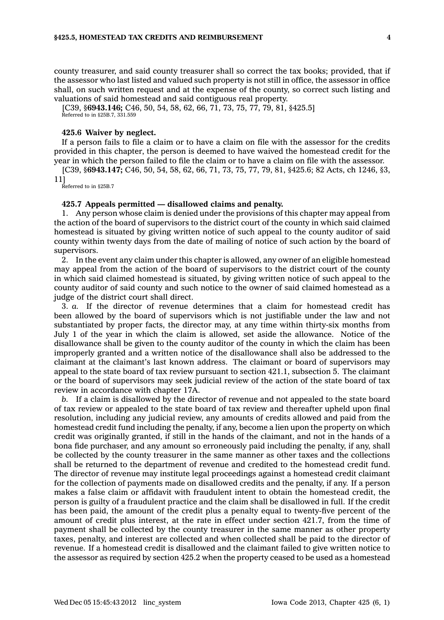county treasurer, and said county treasurer shall so correct the tax books; provided, that if the assessor who last listed and valued such property is not still in office, the assessor in office shall, on such written request and at the expense of the county, so correct such listing and valuations of said homestead and said contiguous real property.

[C39, §**6943.146;** C46, 50, 54, 58, 62, 66, 71, 73, 75, 77, 79, 81, §425.5] Referred to in §25B.7, 331.559

#### **425.6 Waiver by neglect.**

If <sup>a</sup> person fails to file <sup>a</sup> claim or to have <sup>a</sup> claim on file with the assessor for the credits provided in this chapter, the person is deemed to have waived the homestead credit for the year in which the person failed to file the claim or to have <sup>a</sup> claim on file with the assessor.

[C39, §**6943.147;** C46, 50, 54, 58, 62, 66, 71, 73, 75, 77, 79, 81, §425.6; 82 Acts, ch 1246, §3, 11] Referred to in §25B.7

#### **425.7 Appeals permitted — disallowed claims and penalty.**

1. Any person whose claim is denied under the provisions of this chapter may appeal from the action of the board of supervisors to the district court of the county in which said claimed homestead is situated by giving written notice of such appeal to the county auditor of said county within twenty days from the date of mailing of notice of such action by the board of supervisors.

2. In the event any claim under this chapter is allowed, any owner of an eligible homestead may appeal from the action of the board of supervisors to the district court of the county in which said claimed homestead is situated, by giving written notice of such appeal to the county auditor of said county and such notice to the owner of said claimed homestead as <sup>a</sup> judge of the district court shall direct.

3. *a.* If the director of revenue determines that <sup>a</sup> claim for homestead credit has been allowed by the board of supervisors which is not justifiable under the law and not substantiated by proper facts, the director may, at any time within thirty-six months from July 1 of the year in which the claim is allowed, set aside the allowance. Notice of the disallowance shall be given to the county auditor of the county in which the claim has been improperly granted and <sup>a</sup> written notice of the disallowance shall also be addressed to the claimant at the claimant's last known address. The claimant or board of supervisors may appeal to the state board of tax review pursuant to section 421.1, subsection 5. The claimant or the board of supervisors may seek judicial review of the action of the state board of tax review in accordance with chapter 17A.

*b.* If <sup>a</sup> claim is disallowed by the director of revenue and not appealed to the state board of tax review or appealed to the state board of tax review and thereafter upheld upon final resolution, including any judicial review, any amounts of credits allowed and paid from the homestead credit fund including the penalty, if any, become <sup>a</sup> lien upon the property on which credit was originally granted, if still in the hands of the claimant, and not in the hands of <sup>a</sup> bona fide purchaser, and any amount so erroneously paid including the penalty, if any, shall be collected by the county treasurer in the same manner as other taxes and the collections shall be returned to the department of revenue and credited to the homestead credit fund. The director of revenue may institute legal proceedings against <sup>a</sup> homestead credit claimant for the collection of payments made on disallowed credits and the penalty, if any. If <sup>a</sup> person makes <sup>a</sup> false claim or affidavit with fraudulent intent to obtain the homestead credit, the person is guilty of <sup>a</sup> fraudulent practice and the claim shall be disallowed in full. If the credit has been paid, the amount of the credit plus <sup>a</sup> penalty equal to twenty-five percent of the amount of credit plus interest, at the rate in effect under section 421.7, from the time of payment shall be collected by the county treasurer in the same manner as other property taxes, penalty, and interest are collected and when collected shall be paid to the director of revenue. If <sup>a</sup> homestead credit is disallowed and the claimant failed to give written notice to the assessor as required by section 425.2 when the property ceased to be used as <sup>a</sup> homestead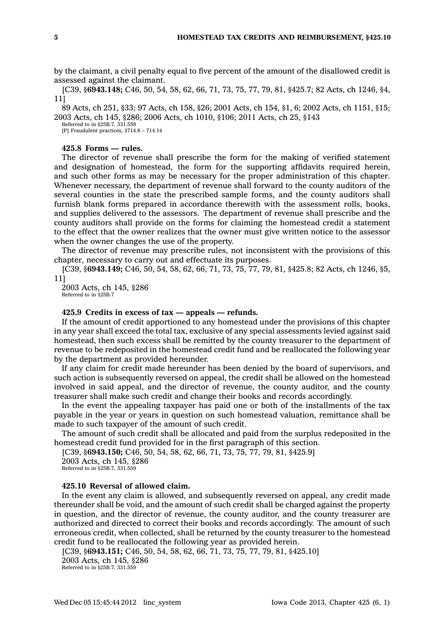by the claimant, <sup>a</sup> civil penalty equal to five percent of the amount of the disallowed credit is assessed against the claimant.

[C39, §**6943.148;** C46, 50, 54, 58, 62, 66, 71, 73, 75, 77, 79, 81, §425.7; 82 Acts, ch 1246, §4, 11]

89 Acts, ch 251, §33; 97 Acts, ch 158, §26; 2001 Acts, ch 154, §1, 6; 2002 Acts, ch 1151, §15; 2003 Acts, ch 145, §286; 2006 Acts, ch 1010, §106; 2011 Acts, ch 25, §143

Referred to in §25B.7, 331.559 [P] Fraudulent practices; §714.8 – 714.14

### **425.8 Forms — rules.**

The director of revenue shall prescribe the form for the making of verified statement and designation of homestead, the form for the supporting affidavits required herein, and such other forms as may be necessary for the proper administration of this chapter. Whenever necessary, the department of revenue shall forward to the county auditors of the several counties in the state the prescribed sample forms, and the county auditors shall furnish blank forms prepared in accordance therewith with the assessment rolls, books, and supplies delivered to the assessors. The department of revenue shall prescribe and the county auditors shall provide on the forms for claiming the homestead credit <sup>a</sup> statement to the effect that the owner realizes that the owner must give written notice to the assessor when the owner changes the use of the property.

The director of revenue may prescribe rules, not inconsistent with the provisions of this chapter, necessary to carry out and effectuate its purposes.

[C39, §**6943.149;** C46, 50, 54, 58, 62, 66, 71, 73, 75, 77, 79, 81, §425.8; 82 Acts, ch 1246, §5, 11]

2003 Acts, ch 145, §286 Referred to in §25B.7

## **425.9 Credits in excess of tax — appeals — refunds.**

If the amount of credit apportioned to any homestead under the provisions of this chapter in any year shall exceed the total tax, exclusive of any special assessments levied against said homestead, then such excess shall be remitted by the county treasurer to the department of revenue to be redeposited in the homestead credit fund and be reallocated the following year by the department as provided hereunder.

If any claim for credit made hereunder has been denied by the board of supervisors, and such action is subsequently reversed on appeal, the credit shall be allowed on the homestead involved in said appeal, and the director of revenue, the county auditor, and the county treasurer shall make such credit and change their books and records accordingly.

In the event the appealing taxpayer has paid one or both of the installments of the tax payable in the year or years in question on such homestead valuation, remittance shall be made to such taxpayer of the amount of such credit.

The amount of such credit shall be allocated and paid from the surplus redeposited in the homestead credit fund provided for in the first paragraph of this section.

[C39, §**6943.150;** C46, 50, 54, 58, 62, 66, 71, 73, 75, 77, 79, 81, §425.9] 2003 Acts, ch 145, §286 Referred to in §25B.7, 331.559

## **425.10 Reversal of allowed claim.**

In the event any claim is allowed, and subsequently reversed on appeal, any credit made thereunder shall be void, and the amount of such credit shall be charged against the property in question, and the director of revenue, the county auditor, and the county treasurer are authorized and directed to correct their books and records accordingly. The amount of such erroneous credit, when collected, shall be returned by the county treasurer to the homestead credit fund to be reallocated the following year as provided herein.

[C39, §**6943.151;** C46, 50, 54, 58, 62, 66, 71, 73, 75, 77, 79, 81, §425.10]

2003 Acts, ch 145, §286 Referred to in §25B.7, 331.559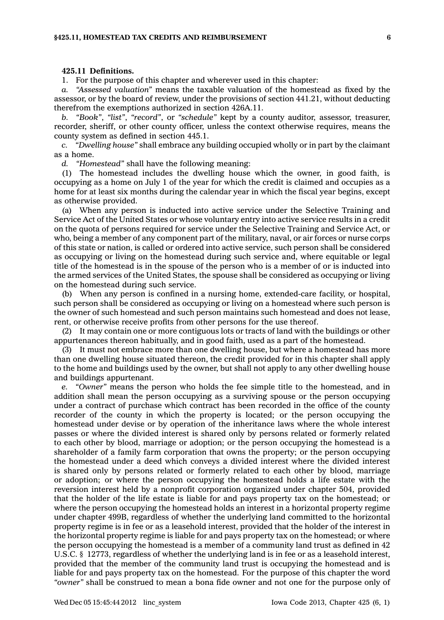#### **425.11 Definitions.**

1. For the purpose of this chapter and wherever used in this chapter:

*a. "Assessed valuation"* means the taxable valuation of the homestead as fixed by the assessor, or by the board of review, under the provisions of section 441.21, without deducting therefrom the exemptions authorized in section 426A.11.

*b. "Book"*, *"list"*, *"record"*, or *"schedule"* kept by <sup>a</sup> county auditor, assessor, treasurer, recorder, sheriff, or other county officer, unless the context otherwise requires, means the county system as defined in section 445.1.

*c. "Dwelling house"* shall embrace any building occupied wholly or in part by the claimant as <sup>a</sup> home.

*d. "Homestead"* shall have the following meaning:

(1) The homestead includes the dwelling house which the owner, in good faith, is occupying as <sup>a</sup> home on July 1 of the year for which the credit is claimed and occupies as <sup>a</sup> home for at least six months during the calendar year in which the fiscal year begins, except as otherwise provided.

(a) When any person is inducted into active service under the Selective Training and Service Act of the United States or whose voluntary entry into active service results in <sup>a</sup> credit on the quota of persons required for service under the Selective Training and Service Act, or who, being <sup>a</sup> member of any component part of the military, naval, or air forces or nurse corps of this state or nation, is called or ordered into active service, such person shall be considered as occupying or living on the homestead during such service and, where equitable or legal title of the homestead is in the spouse of the person who is <sup>a</sup> member of or is inducted into the armed services of the United States, the spouse shall be considered as occupying or living on the homestead during such service.

(b) When any person is confined in <sup>a</sup> nursing home, extended-care facility, or hospital, such person shall be considered as occupying or living on <sup>a</sup> homestead where such person is the owner of such homestead and such person maintains such homestead and does not lease, rent, or otherwise receive profits from other persons for the use thereof.

(2) It may contain one or more contiguous lots or tracts of land with the buildings or other appurtenances thereon habitually, and in good faith, used as <sup>a</sup> part of the homestead.

(3) It must not embrace more than one dwelling house, but where <sup>a</sup> homestead has more than one dwelling house situated thereon, the credit provided for in this chapter shall apply to the home and buildings used by the owner, but shall not apply to any other dwelling house and buildings appurtenant.

*e. "Owner"* means the person who holds the fee simple title to the homestead, and in addition shall mean the person occupying as <sup>a</sup> surviving spouse or the person occupying under <sup>a</sup> contract of purchase which contract has been recorded in the office of the county recorder of the county in which the property is located; or the person occupying the homestead under devise or by operation of the inheritance laws where the whole interest passes or where the divided interest is shared only by persons related or formerly related to each other by blood, marriage or adoption; or the person occupying the homestead is <sup>a</sup> shareholder of <sup>a</sup> family farm corporation that owns the property; or the person occupying the homestead under <sup>a</sup> deed which conveys <sup>a</sup> divided interest where the divided interest is shared only by persons related or formerly related to each other by blood, marriage or adoption; or where the person occupying the homestead holds <sup>a</sup> life estate with the reversion interest held by <sup>a</sup> nonprofit corporation organized under chapter 504, provided that the holder of the life estate is liable for and pays property tax on the homestead; or where the person occupying the homestead holds an interest in <sup>a</sup> horizontal property regime under chapter 499B, regardless of whether the underlying land committed to the horizontal property regime is in fee or as <sup>a</sup> leasehold interest, provided that the holder of the interest in the horizontal property regime is liable for and pays property tax on the homestead; or where the person occupying the homestead is <sup>a</sup> member of <sup>a</sup> community land trust as defined in 42 U.S.C. § 12773, regardless of whether the underlying land is in fee or as <sup>a</sup> leasehold interest, provided that the member of the community land trust is occupying the homestead and is liable for and pays property tax on the homestead. For the purpose of this chapter the word *"owner"* shall be construed to mean <sup>a</sup> bona fide owner and not one for the purpose only of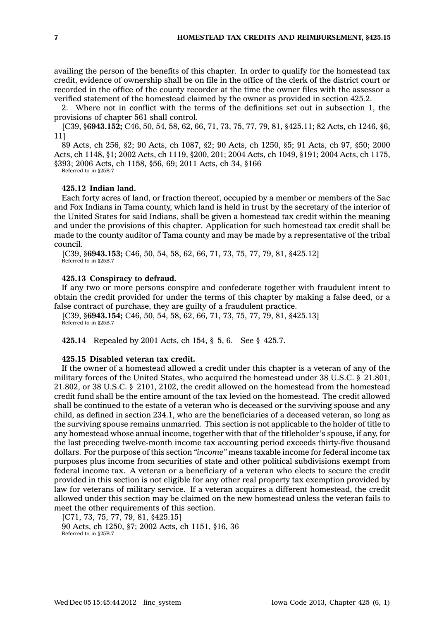availing the person of the benefits of this chapter. In order to qualify for the homestead tax credit, evidence of ownership shall be on file in the office of the clerk of the district court or recorded in the office of the county recorder at the time the owner files with the assessor <sup>a</sup> verified statement of the homestead claimed by the owner as provided in section 425.2.

2. Where not in conflict with the terms of the definitions set out in subsection 1, the provisions of chapter 561 shall control.

[C39, §**6943.152;** C46, 50, 54, 58, 62, 66, 71, 73, 75, 77, 79, 81, §425.11; 82 Acts, ch 1246, §6, 11]

89 Acts, ch 256, §2; 90 Acts, ch 1087, §2; 90 Acts, ch 1250, §5; 91 Acts, ch 97, §50; 2000 Acts, ch 1148, §1; 2002 Acts, ch 1119, §200, 201; 2004 Acts, ch 1049, §191; 2004 Acts, ch 1175, §393; 2006 Acts, ch 1158, §56, 69; 2011 Acts, ch 34, §166

Referred to in §25B.7

## **425.12 Indian land.**

Each forty acres of land, or fraction thereof, occupied by <sup>a</sup> member or members of the Sac and Fox Indians in Tama county, which land is held in trust by the secretary of the interior of the United States for said Indians, shall be given <sup>a</sup> homestead tax credit within the meaning and under the provisions of this chapter. Application for such homestead tax credit shall be made to the county auditor of Tama county and may be made by <sup>a</sup> representative of the tribal council.

[C39, §**6943.153;** C46, 50, 54, 58, 62, 66, 71, 73, 75, 77, 79, 81, §425.12] Referred to in §25B.7

#### **425.13 Conspiracy to defraud.**

If any two or more persons conspire and confederate together with fraudulent intent to obtain the credit provided for under the terms of this chapter by making <sup>a</sup> false deed, or <sup>a</sup> false contract of purchase, they are guilty of <sup>a</sup> fraudulent practice.

[C39, §**6943.154;** C46, 50, 54, 58, 62, 66, 71, 73, 75, 77, 79, 81, §425.13] Referred to in §25B.7

**425.14** Repealed by 2001 Acts, ch 154, § 5, 6. See § 425.7.

#### **425.15 Disabled veteran tax credit.**

If the owner of <sup>a</sup> homestead allowed <sup>a</sup> credit under this chapter is <sup>a</sup> veteran of any of the military forces of the United States, who acquired the homestead under 38 U.S.C. § 21.801, 21.802, or 38 U.S.C. § 2101, 2102, the credit allowed on the homestead from the homestead credit fund shall be the entire amount of the tax levied on the homestead. The credit allowed shall be continued to the estate of <sup>a</sup> veteran who is deceased or the surviving spouse and any child, as defined in section 234.1, who are the beneficiaries of <sup>a</sup> deceased veteran, so long as the surviving spouse remains unmarried. This section is not applicable to the holder of title to any homestead whose annual income, together with that of the titleholder's spouse, if any, for the last preceding twelve-month income tax accounting period exceeds thirty-five thousand dollars. For the purpose of this section *"income"* means taxable income for federal income tax purposes plus income from securities of state and other political subdivisions exempt from federal income tax. A veteran or <sup>a</sup> beneficiary of <sup>a</sup> veteran who elects to secure the credit provided in this section is not eligible for any other real property tax exemption provided by law for veterans of military service. If <sup>a</sup> veteran acquires <sup>a</sup> different homestead, the credit allowed under this section may be claimed on the new homestead unless the veteran fails to meet the other requirements of this section.

[C71, 73, 75, 77, 79, 81, §425.15] 90 Acts, ch 1250, §7; 2002 Acts, ch 1151, §16, 36 Referred to in §25B.7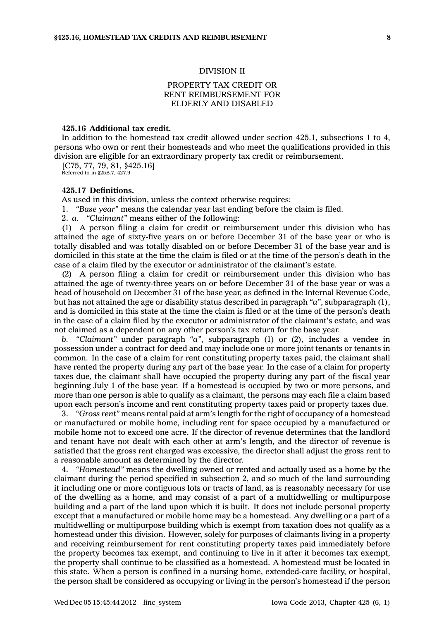## DIVISION II

## PROPERTY TAX CREDIT OR RENT REIMBURSEMENT FOR ELDERLY AND DISABLED

## **425.16 Additional tax credit.**

In addition to the homestead tax credit allowed under section 425.1, subsections 1 to 4, persons who own or rent their homesteads and who meet the qualifications provided in this division are eligible for an extraordinary property tax credit or reimbursement.

[C75, 77, 79, 81, §425.16] Referred to in §25B.7, 427.9

## **425.17 Definitions.**

As used in this division, unless the context otherwise requires:

1. *"Base year"* means the calendar year last ending before the claim is filed.

2. *a. "Claimant"* means either of the following:

(1) A person filing <sup>a</sup> claim for credit or reimbursement under this division who has attained the age of sixty-five years on or before December 31 of the base year or who is totally disabled and was totally disabled on or before December 31 of the base year and is domiciled in this state at the time the claim is filed or at the time of the person's death in the case of <sup>a</sup> claim filed by the executor or administrator of the claimant's estate.

(2) A person filing <sup>a</sup> claim for credit or reimbursement under this division who has attained the age of twenty-three years on or before December 31 of the base year or was <sup>a</sup> head of household on December 31 of the base year, as defined in the Internal Revenue Code, but has not attained the age or disability status described in paragraph *"a"*, subparagraph (1), and is domiciled in this state at the time the claim is filed or at the time of the person's death in the case of <sup>a</sup> claim filed by the executor or administrator of the claimant's estate, and was not claimed as <sup>a</sup> dependent on any other person's tax return for the base year.

*b. "Claimant"* under paragraph *"a"*, subparagraph (1) or (2), includes <sup>a</sup> vendee in possession under <sup>a</sup> contract for deed and may include one or more joint tenants or tenants in common. In the case of <sup>a</sup> claim for rent constituting property taxes paid, the claimant shall have rented the property during any part of the base year. In the case of <sup>a</sup> claim for property taxes due, the claimant shall have occupied the property during any part of the fiscal year beginning July 1 of the base year. If <sup>a</sup> homestead is occupied by two or more persons, and more than one person is able to qualify as <sup>a</sup> claimant, the persons may each file <sup>a</sup> claim based upon each person's income and rent constituting property taxes paid or property taxes due.

3. *"Gross rent"* means rental paid at arm's length for the right of occupancy of <sup>a</sup> homestead or manufactured or mobile home, including rent for space occupied by <sup>a</sup> manufactured or mobile home not to exceed one acre. If the director of revenue determines that the landlord and tenant have not dealt with each other at arm's length, and the director of revenue is satisfied that the gross rent charged was excessive, the director shall adjust the gross rent to <sup>a</sup> reasonable amount as determined by the director.

4. *"Homestead"* means the dwelling owned or rented and actually used as <sup>a</sup> home by the claimant during the period specified in subsection 2, and so much of the land surrounding it including one or more contiguous lots or tracts of land, as is reasonably necessary for use of the dwelling as <sup>a</sup> home, and may consist of <sup>a</sup> part of <sup>a</sup> multidwelling or multipurpose building and <sup>a</sup> part of the land upon which it is built. It does not include personal property except that <sup>a</sup> manufactured or mobile home may be <sup>a</sup> homestead. Any dwelling or <sup>a</sup> part of <sup>a</sup> multidwelling or multipurpose building which is exempt from taxation does not qualify as <sup>a</sup> homestead under this division. However, solely for purposes of claimants living in <sup>a</sup> property and receiving reimbursement for rent constituting property taxes paid immediately before the property becomes tax exempt, and continuing to live in it after it becomes tax exempt, the property shall continue to be classified as <sup>a</sup> homestead. A homestead must be located in this state. When <sup>a</sup> person is confined in <sup>a</sup> nursing home, extended-care facility, or hospital, the person shall be considered as occupying or living in the person's homestead if the person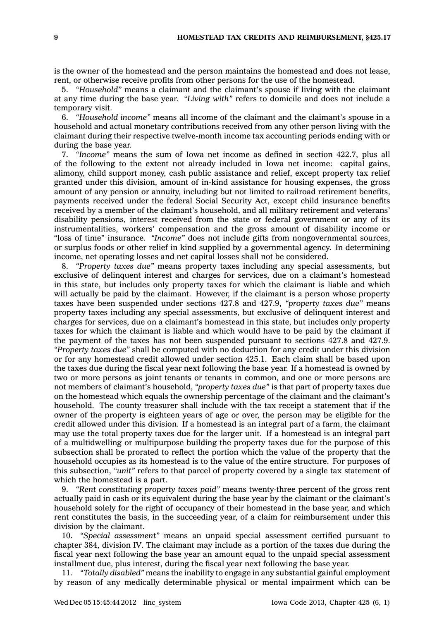is the owner of the homestead and the person maintains the homestead and does not lease, rent, or otherwise receive profits from other persons for the use of the homestead.

5. *"Household"* means <sup>a</sup> claimant and the claimant's spouse if living with the claimant at any time during the base year. *"Living with"* refers to domicile and does not include <sup>a</sup> temporary visit.

6. *"Household income"* means all income of the claimant and the claimant's spouse in <sup>a</sup> household and actual monetary contributions received from any other person living with the claimant during their respective twelve-month income tax accounting periods ending with or during the base year.

7. *"Income"* means the sum of Iowa net income as defined in section 422.7, plus all of the following to the extent not already included in Iowa net income: capital gains, alimony, child support money, cash public assistance and relief, except property tax relief granted under this division, amount of in-kind assistance for housing expenses, the gross amount of any pension or annuity, including but not limited to railroad retirement benefits, payments received under the federal Social Security Act, except child insurance benefits received by <sup>a</sup> member of the claimant's household, and all military retirement and veterans' disability pensions, interest received from the state or federal government or any of its instrumentalities, workers' compensation and the gross amount of disability income or "loss of time" insurance. *"Income"* does not include gifts from nongovernmental sources, or surplus foods or other relief in kind supplied by <sup>a</sup> governmental agency. In determining income, net operating losses and net capital losses shall not be considered.

8. *"Property taxes due"* means property taxes including any special assessments, but exclusive of delinquent interest and charges for services, due on <sup>a</sup> claimant's homestead in this state, but includes only property taxes for which the claimant is liable and which will actually be paid by the claimant. However, if the claimant is <sup>a</sup> person whose property taxes have been suspended under sections 427.8 and 427.9, *"property taxes due"* means property taxes including any special assessments, but exclusive of delinquent interest and charges for services, due on <sup>a</sup> claimant's homestead in this state, but includes only property taxes for which the claimant is liable and which would have to be paid by the claimant if the payment of the taxes has not been suspended pursuant to sections 427.8 and 427.9. *"Property taxes due"* shall be computed with no deduction for any credit under this division or for any homestead credit allowed under section 425.1. Each claim shall be based upon the taxes due during the fiscal year next following the base year. If <sup>a</sup> homestead is owned by two or more persons as joint tenants or tenants in common, and one or more persons are not members of claimant's household, *"property taxes due"* is that part of property taxes due on the homestead which equals the ownership percentage of the claimant and the claimant's household. The county treasurer shall include with the tax receipt <sup>a</sup> statement that if the owner of the property is eighteen years of age or over, the person may be eligible for the credit allowed under this division. If <sup>a</sup> homestead is an integral part of <sup>a</sup> farm, the claimant may use the total property taxes due for the larger unit. If <sup>a</sup> homestead is an integral part of <sup>a</sup> multidwelling or multipurpose building the property taxes due for the purpose of this subsection shall be prorated to reflect the portion which the value of the property that the household occupies as its homestead is to the value of the entire structure. For purposes of this subsection, *"unit"* refers to that parcel of property covered by <sup>a</sup> single tax statement of which the homestead is <sup>a</sup> part.

9. *"Rent constituting property taxes paid"* means twenty-three percent of the gross rent actually paid in cash or its equivalent during the base year by the claimant or the claimant's household solely for the right of occupancy of their homestead in the base year, and which rent constitutes the basis, in the succeeding year, of <sup>a</sup> claim for reimbursement under this division by the claimant.

10. *"Special assessment"* means an unpaid special assessment certified pursuant to chapter 384, division IV. The claimant may include as <sup>a</sup> portion of the taxes due during the fiscal year next following the base year an amount equal to the unpaid special assessment installment due, plus interest, during the fiscal year next following the base year.

11. *"Totally disabled"* means the inability to engage in any substantial gainful employment by reason of any medically determinable physical or mental impairment which can be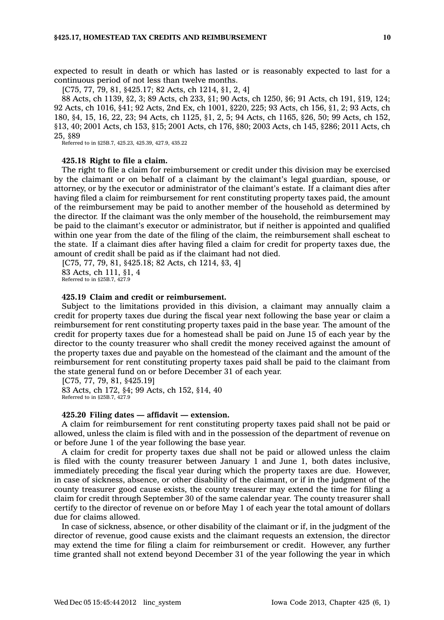expected to result in death or which has lasted or is reasonably expected to last for <sup>a</sup> continuous period of not less than twelve months.

[C75, 77, 79, 81, §425.17; 82 Acts, ch 1214, §1, 2, 4]

88 Acts, ch 1139, §2, 3; 89 Acts, ch 233, §1; 90 Acts, ch 1250, §6; 91 Acts, ch 191, §19, 124; 92 Acts, ch 1016, §41; 92 Acts, 2nd Ex, ch 1001, §220, 225; 93 Acts, ch 156, §1, 2; 93 Acts, ch 180, §4, 15, 16, 22, 23; 94 Acts, ch 1125, §1, 2, 5; 94 Acts, ch 1165, §26, 50; 99 Acts, ch 152, §13, 40; 2001 Acts, ch 153, §15; 2001 Acts, ch 176, §80; 2003 Acts, ch 145, §286; 2011 Acts, ch 25, §89

Referred to in §25B.7, 425.23, 425.39, 427.9, 435.22

### **425.18 Right to file <sup>a</sup> claim.**

The right to file <sup>a</sup> claim for reimbursement or credit under this division may be exercised by the claimant or on behalf of <sup>a</sup> claimant by the claimant's legal guardian, spouse, or attorney, or by the executor or administrator of the claimant's estate. If <sup>a</sup> claimant dies after having filed <sup>a</sup> claim for reimbursement for rent constituting property taxes paid, the amount of the reimbursement may be paid to another member of the household as determined by the director. If the claimant was the only member of the household, the reimbursement may be paid to the claimant's executor or administrator, but if neither is appointed and qualified within one year from the date of the filing of the claim, the reimbursement shall escheat to the state. If <sup>a</sup> claimant dies after having filed <sup>a</sup> claim for credit for property taxes due, the amount of credit shall be paid as if the claimant had not died.

[C75, 77, 79, 81, §425.18; 82 Acts, ch 1214, §3, 4] 83 Acts, ch 111, §1, 4 Referred to in §25B.7, 427.9

#### **425.19 Claim and credit or reimbursement.**

Subject to the limitations provided in this division, <sup>a</sup> claimant may annually claim <sup>a</sup> credit for property taxes due during the fiscal year next following the base year or claim <sup>a</sup> reimbursement for rent constituting property taxes paid in the base year. The amount of the credit for property taxes due for <sup>a</sup> homestead shall be paid on June 15 of each year by the director to the county treasurer who shall credit the money received against the amount of the property taxes due and payable on the homestead of the claimant and the amount of the reimbursement for rent constituting property taxes paid shall be paid to the claimant from the state general fund on or before December 31 of each year.

[C75, 77, 79, 81, §425.19] 83 Acts, ch 172, §4; 99 Acts, ch 152, §14, 40 Referred to in §25B.7, 427.9

#### **425.20 Filing dates — affidavit —extension.**

A claim for reimbursement for rent constituting property taxes paid shall not be paid or allowed, unless the claim is filed with and in the possession of the department of revenue on or before June 1 of the year following the base year.

A claim for credit for property taxes due shall not be paid or allowed unless the claim is filed with the county treasurer between January 1 and June 1, both dates inclusive, immediately preceding the fiscal year during which the property taxes are due. However, in case of sickness, absence, or other disability of the claimant, or if in the judgment of the county treasurer good cause exists, the county treasurer may extend the time for filing <sup>a</sup> claim for credit through September 30 of the same calendar year. The county treasurer shall certify to the director of revenue on or before May 1 of each year the total amount of dollars due for claims allowed.

In case of sickness, absence, or other disability of the claimant or if, in the judgment of the director of revenue, good cause exists and the claimant requests an extension, the director may extend the time for filing <sup>a</sup> claim for reimbursement or credit. However, any further time granted shall not extend beyond December 31 of the year following the year in which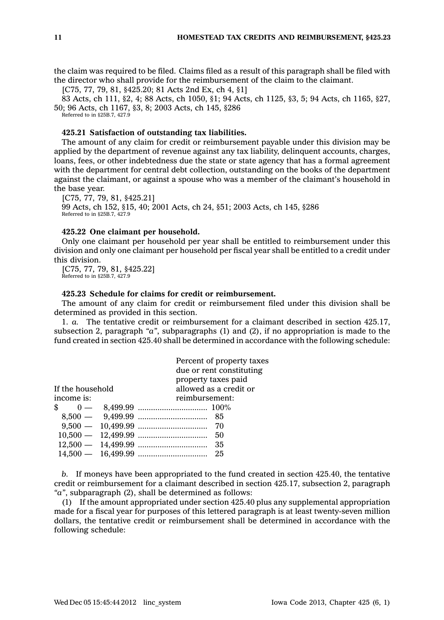the claim was required to be filed. Claims filed as <sup>a</sup> result of this paragraph shall be filed with the director who shall provide for the reimbursement of the claim to the claimant.

[C75, 77, 79, 81, §425.20; 81 Acts 2nd Ex, ch 4, §1]

83 Acts, ch 111, §2, 4; 88 Acts, ch 1050, §1; 94 Acts, ch 1125, §3, 5; 94 Acts, ch 1165, §27, 50; 96 Acts, ch 1167, §3, 8; 2003 Acts, ch 145, §286 Referred to in §25B.7, 427.9

## **425.21 Satisfaction of outstanding tax liabilities.**

The amount of any claim for credit or reimbursement payable under this division may be applied by the department of revenue against any tax liability, delinquent accounts, charges, loans, fees, or other indebtedness due the state or state agency that has <sup>a</sup> formal agreement with the department for central debt collection, outstanding on the books of the department against the claimant, or against <sup>a</sup> spouse who was <sup>a</sup> member of the claimant's household in the base year.

[C75, 77, 79, 81, §425.21] 99 Acts, ch 152, §15, 40; 2001 Acts, ch 24, §51; 2003 Acts, ch 145, §286 Referred to in §25B.7, 427.9

### **425.22 One claimant per household.**

Only one claimant per household per year shall be entitled to reimbursement under this division and only one claimant per household per fiscal year shall be entitled to <sup>a</sup> credit under this division.

[C75, 77, 79, 81, §425.22] Referred to in §25B.7, 427.9

## **425.23 Schedule for claims for credit or reimbursement.**

The amount of any claim for credit or reimbursement filed under this division shall be determined as provided in this section.

1. *a.* The tentative credit or reimbursement for <sup>a</sup> claimant described in section 425.17, subsection 2, paragraph *"a"*, subparagraphs (1) and (2), if no appropriation is made to the fund created in section 425.40 shall be determined in accordance with the following schedule:

|                  |  | Percent of property taxes |
|------------------|--|---------------------------|
|                  |  | due or rent constituting  |
|                  |  | property taxes paid       |
| If the household |  | allowed as a credit or    |
| income is:       |  | reimbursement:            |
|                  |  |                           |
|                  |  |                           |
|                  |  |                           |
|                  |  | 50                        |
|                  |  |                           |
|                  |  |                           |

*b.* If moneys have been appropriated to the fund created in section 425.40, the tentative credit or reimbursement for <sup>a</sup> claimant described in section 425.17, subsection 2, paragraph *"a"*, subparagraph (2), shall be determined as follows:

(1) If the amount appropriated under section 425.40 plus any supplemental appropriation made for <sup>a</sup> fiscal year for purposes of this lettered paragraph is at least twenty-seven million dollars, the tentative credit or reimbursement shall be determined in accordance with the following schedule: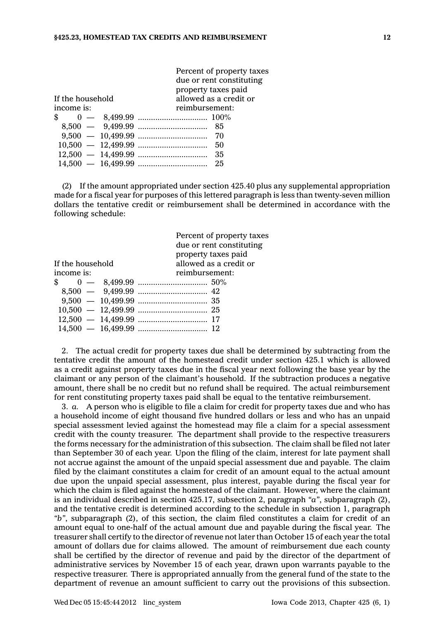|                  | Percent of property taxes |  |
|------------------|---------------------------|--|
|                  | due or rent constituting  |  |
|                  | property taxes paid       |  |
| If the household | allowed as a credit or    |  |
| income is:       | reimbursement:            |  |
|                  |                           |  |
|                  |                           |  |
|                  | 70                        |  |
|                  | 50                        |  |
|                  | 35                        |  |
|                  |                           |  |

(2) If the amount appropriated under section 425.40 plus any supplemental appropriation made for <sup>a</sup> fiscal year for purposes of this lettered paragraph is less than twenty-seven million dollars the tentative credit or reimbursement shall be determined in accordance with the following schedule:

|                  | Percent of property taxes |
|------------------|---------------------------|
|                  | due or rent constituting  |
|                  | property taxes paid       |
| If the household | allowed as a credit or    |
| income is:       | reimbursement:            |
|                  |                           |
|                  |                           |
|                  |                           |
|                  |                           |
|                  |                           |
|                  |                           |

2. The actual credit for property taxes due shall be determined by subtracting from the tentative credit the amount of the homestead credit under section 425.1 which is allowed as <sup>a</sup> credit against property taxes due in the fiscal year next following the base year by the claimant or any person of the claimant's household. If the subtraction produces <sup>a</sup> negative amount, there shall be no credit but no refund shall be required. The actual reimbursement for rent constituting property taxes paid shall be equal to the tentative reimbursement.

3. *a.* A person who is eligible to file <sup>a</sup> claim for credit for property taxes due and who has <sup>a</sup> household income of eight thousand five hundred dollars or less and who has an unpaid special assessment levied against the homestead may file <sup>a</sup> claim for <sup>a</sup> special assessment credit with the county treasurer. The department shall provide to the respective treasurers the forms necessary for the administration of this subsection. The claim shall be filed not later than September 30 of each year. Upon the filing of the claim, interest for late payment shall not accrue against the amount of the unpaid special assessment due and payable. The claim filed by the claimant constitutes <sup>a</sup> claim for credit of an amount equal to the actual amount due upon the unpaid special assessment, plus interest, payable during the fiscal year for which the claim is filed against the homestead of the claimant. However, where the claimant is an individual described in section 425.17, subsection 2, paragraph *"a"*, subparagraph (2), and the tentative credit is determined according to the schedule in subsection 1, paragraph *"b"*, subparagraph (2), of this section, the claim filed constitutes <sup>a</sup> claim for credit of an amount equal to one-half of the actual amount due and payable during the fiscal year. The treasurer shall certify to the director of revenue not later than October 15 of each year the total amount of dollars due for claims allowed. The amount of reimbursement due each county shall be certified by the director of revenue and paid by the director of the department of administrative services by November 15 of each year, drawn upon warrants payable to the respective treasurer. There is appropriated annually from the general fund of the state to the department of revenue an amount sufficient to carry out the provisions of this subsection.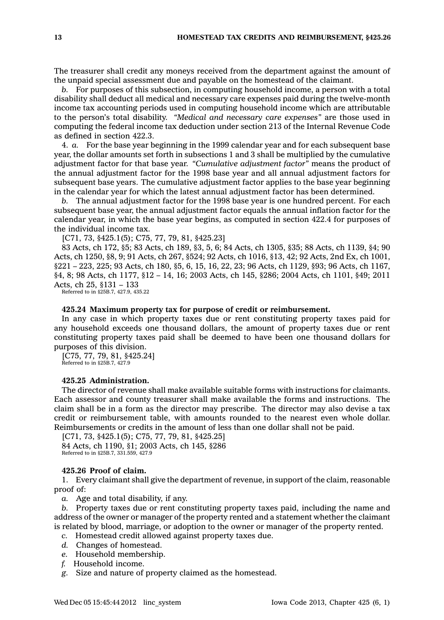The treasurer shall credit any moneys received from the department against the amount of the unpaid special assessment due and payable on the homestead of the claimant.

*b.* For purposes of this subsection, in computing household income, <sup>a</sup> person with <sup>a</sup> total disability shall deduct all medical and necessary care expenses paid during the twelve-month income tax accounting periods used in computing household income which are attributable to the person's total disability. *"Medical and necessary care expenses"* are those used in computing the federal income tax deduction under section 213 of the Internal Revenue Code as defined in section 422.3.

4. *a.* For the base year beginning in the 1999 calendar year and for each subsequent base year, the dollar amounts set forth in subsections 1 and 3 shall be multiplied by the cumulative adjustment factor for that base year. *"Cumulative adjustment factor"* means the product of the annual adjustment factor for the 1998 base year and all annual adjustment factors for subsequent base years. The cumulative adjustment factor applies to the base year beginning in the calendar year for which the latest annual adjustment factor has been determined.

*b.* The annual adjustment factor for the 1998 base year is one hundred percent. For each subsequent base year, the annual adjustment factor equals the annual inflation factor for the calendar year, in which the base year begins, as computed in section 422.4 for purposes of the individual income tax.

[C71, 73, §425.1(5); C75, 77, 79, 81, §425.23]

83 Acts, ch 172, §5; 83 Acts, ch 189, §3, 5, 6; 84 Acts, ch 1305, §35; 88 Acts, ch 1139, §4; 90 Acts, ch 1250, §8, 9; 91 Acts, ch 267, §524; 92 Acts, ch 1016, §13, 42; 92 Acts, 2nd Ex, ch 1001, §221 – 223, 225; 93 Acts, ch 180, §5, 6, 15, 16, 22, 23; 96 Acts, ch 1129, §93; 96 Acts, ch 1167, §4, 8; 98 Acts, ch 1177, §12 – 14, 16; 2003 Acts, ch 145, §286; 2004 Acts, ch 1101, §49; 2011 Acts, ch 25, §131 – 133

Referred to in §25B.7, 427.9, 435.22

#### **425.24 Maximum property tax for purpose of credit or reimbursement.**

In any case in which property taxes due or rent constituting property taxes paid for any household exceeds one thousand dollars, the amount of property taxes due or rent constituting property taxes paid shall be deemed to have been one thousand dollars for purposes of this division.

[C75, 77, 79, 81, §425.24] Referred to in §25B.7, 427.9

### **425.25 Administration.**

The director of revenue shall make available suitable forms with instructions for claimants. Each assessor and county treasurer shall make available the forms and instructions. The claim shall be in <sup>a</sup> form as the director may prescribe. The director may also devise <sup>a</sup> tax credit or reimbursement table, with amounts rounded to the nearest even whole dollar. Reimbursements or credits in the amount of less than one dollar shall not be paid.

[C71, 73, §425.1(5); C75, 77, 79, 81, §425.25] 84 Acts, ch 1190, §1; 2003 Acts, ch 145, §286 Referred to in §25B.7, 331.559, 427.9

### **425.26 Proof of claim.**

1. Every claimant shall give the department of revenue, in support of the claim, reasonable proof of:

*a.* Age and total disability, if any.

*b.* Property taxes due or rent constituting property taxes paid, including the name and address of the owner or manager of the property rented and <sup>a</sup> statement whether the claimant is related by blood, marriage, or adoption to the owner or manager of the property rented.

- *c.* Homestead credit allowed against property taxes due.
- *d.* Changes of homestead.
- *e.* Household membership.
- *f.* Household income.
- *g.* Size and nature of property claimed as the homestead.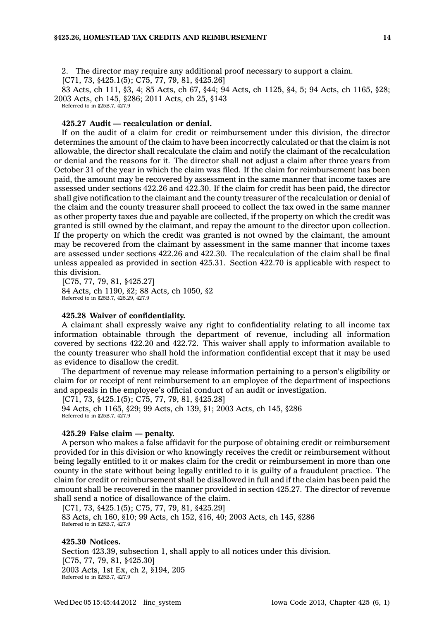2. The director may require any additional proof necessary to support <sup>a</sup> claim.

[C71, 73, §425.1(5); C75, 77, 79, 81, §425.26]

83 Acts, ch 111, §3, 4; 85 Acts, ch 67, §44; 94 Acts, ch 1125, §4, 5; 94 Acts, ch 1165, §28; 2003 Acts, ch 145, §286; 2011 Acts, ch 25, §143

Referred to in §25B.7, 427.9

## **425.27 Audit — recalculation or denial.**

If on the audit of <sup>a</sup> claim for credit or reimbursement under this division, the director determines the amount of the claim to have been incorrectly calculated or that the claim is not allowable, the director shall recalculate the claim and notify the claimant of the recalculation or denial and the reasons for it. The director shall not adjust <sup>a</sup> claim after three years from October 31 of the year in which the claim was filed. If the claim for reimbursement has been paid, the amount may be recovered by assessment in the same manner that income taxes are assessed under sections 422.26 and 422.30. If the claim for credit has been paid, the director shall give notification to the claimant and the county treasurer of the recalculation or denial of the claim and the county treasurer shall proceed to collect the tax owed in the same manner as other property taxes due and payable are collected, if the property on which the credit was granted is still owned by the claimant, and repay the amount to the director upon collection. If the property on which the credit was granted is not owned by the claimant, the amount may be recovered from the claimant by assessment in the same manner that income taxes are assessed under sections 422.26 and 422.30. The recalculation of the claim shall be final unless appealed as provided in section 425.31. Section 422.70 is applicable with respect to this division.

[C75, 77, 79, 81, §425.27] 84 Acts, ch 1190, §2; 88 Acts, ch 1050, §2 Referred to in §25B.7, 425.29, 427.9

#### **425.28 Waiver of confidentiality.**

A claimant shall expressly waive any right to confidentiality relating to all income tax information obtainable through the department of revenue, including all information covered by sections 422.20 and 422.72. This waiver shall apply to information available to the county treasurer who shall hold the information confidential except that it may be used as evidence to disallow the credit.

The department of revenue may release information pertaining to <sup>a</sup> person's eligibility or claim for or receipt of rent reimbursement to an employee of the department of inspections and appeals in the employee's official conduct of an audit or investigation.

[C71, 73, §425.1(5); C75, 77, 79, 81, §425.28] 94 Acts, ch 1165, §29; 99 Acts, ch 139, §1; 2003 Acts, ch 145, §286 Referred to in §25B.7, 427.9

# **425.29 False claim — penalty.**

A person who makes <sup>a</sup> false affidavit for the purpose of obtaining credit or reimbursement provided for in this division or who knowingly receives the credit or reimbursement without being legally entitled to it or makes claim for the credit or reimbursement in more than one county in the state without being legally entitled to it is guilty of <sup>a</sup> fraudulent practice. The claim for credit or reimbursement shall be disallowed in full and if the claim has been paid the amount shall be recovered in the manner provided in section 425.27. The director of revenue shall send <sup>a</sup> notice of disallowance of the claim.

[C71, 73, §425.1(5); C75, 77, 79, 81, §425.29] 83 Acts, ch 160, §10; 99 Acts, ch 152, §16, 40; 2003 Acts, ch 145, §286 Referred to in §25B.7, 427.9

## **425.30 Notices.**

Section 423.39, subsection 1, shall apply to all notices under this division. [C75, 77, 79, 81, §425.30] 2003 Acts, 1st Ex, ch 2, §194, 205 Referred to in §25B.7, 427.9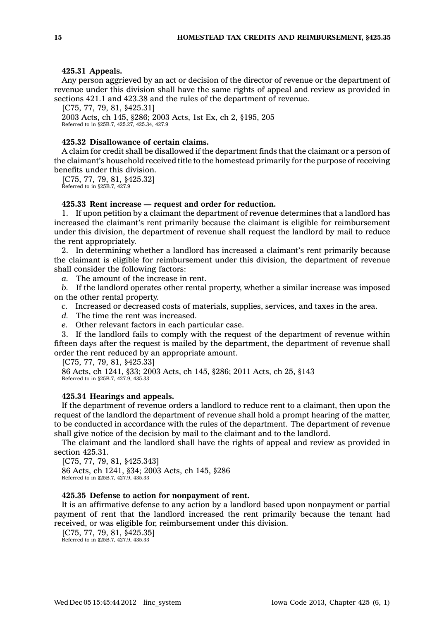#### **425.31 Appeals.**

Any person aggrieved by an act or decision of the director of revenue or the department of revenue under this division shall have the same rights of appeal and review as provided in sections 421.1 and 423.38 and the rules of the department of revenue.

[C75, 77, 79, 81, §425.31] 2003 Acts, ch 145, §286; 2003 Acts, 1st Ex, ch 2, §195, 205 Referred to in §25B.7, 425.27, 425.34, 427.9

## **425.32 Disallowance of certain claims.**

A claim for credit shall be disallowed if the department finds that the claimant or <sup>a</sup> person of the claimant's household received title to the homestead primarily for the purpose of receiving benefits under this division.

[C75, 77, 79, 81, §425.32] Referred to in §25B.7, 427.9

#### **425.33 Rent increase — request and order for reduction.**

1. If upon petition by <sup>a</sup> claimant the department of revenue determines that <sup>a</sup> landlord has increased the claimant's rent primarily because the claimant is eligible for reimbursement under this division, the department of revenue shall request the landlord by mail to reduce the rent appropriately.

2. In determining whether <sup>a</sup> landlord has increased <sup>a</sup> claimant's rent primarily because the claimant is eligible for reimbursement under this division, the department of revenue shall consider the following factors:

*a.* The amount of the increase in rent.

*b.* If the landlord operates other rental property, whether <sup>a</sup> similar increase was imposed on the other rental property.

*c.* Increased or decreased costs of materials, supplies, services, and taxes in the area.

*d.* The time the rent was increased.

*e.* Other relevant factors in each particular case.

3. If the landlord fails to comply with the request of the department of revenue within fifteen days after the request is mailed by the department, the department of revenue shall order the rent reduced by an appropriate amount.

[C75, 77, 79, 81, §425.33]

86 Acts, ch 1241, §33; 2003 Acts, ch 145, §286; 2011 Acts, ch 25, §143 Referred to in §25B.7, 427.9, 435.33

#### **425.34 Hearings and appeals.**

If the department of revenue orders <sup>a</sup> landlord to reduce rent to <sup>a</sup> claimant, then upon the request of the landlord the department of revenue shall hold <sup>a</sup> prompt hearing of the matter, to be conducted in accordance with the rules of the department. The department of revenue shall give notice of the decision by mail to the claimant and to the landlord.

The claimant and the landlord shall have the rights of appeal and review as provided in section 425.31.

[C75, 77, 79, 81, §425.343] 86 Acts, ch 1241, §34; 2003 Acts, ch 145, §286 Referred to in §25B.7, 427.9, 435.33

#### **425.35 Defense to action for nonpayment of rent.**

It is an affirmative defense to any action by <sup>a</sup> landlord based upon nonpayment or partial payment of rent that the landlord increased the rent primarily because the tenant had received, or was eligible for, reimbursement under this division.

[C75, 77, 79, 81, §425.35] Referred to in §25B.7, 427.9, 435.33